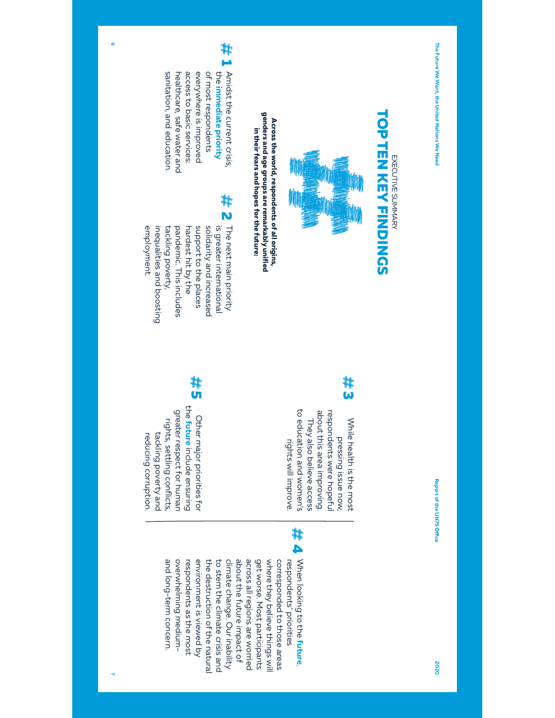

## **Report of the UN75 Ofce**

# **TOPHEN KEY FINDINGS TOP TEN KEY FINDINGS** EXECUTIVE SUMMARY EXECUTIVE SUMMARY



genders and age groups are remarkably unified **genders and age groups are remarkably unified** Across the world, respondents of all origins, **Across the world, respondents of all origins,** in their fears and hopes for the future: **in their fears and hopes for the future:**

**神一**:「injatthecurent crisis, sanitation, and education. healthcare, safe water and access to basic services: everywhere is improved of most respondents the immediate priority sanitation, and education. access to basic services: everywhere is improved of most respondents Amidst the current crisis, healthcare, safe water and  **immediate priority** 

> **2** The next main priority support to the places solidarity and increased is greater international hardest hit by the The next main priority hardest hit by the support to the places solidarity and increased is greater international

employment.

employment.

inequalities and boosting

inequalities and boosting

tackling poverty, pandemic. This includes

pandemic. This includes

tackling poverty,

## 书<br>3

about this area improving. to education and women's to education and women's respondents were hopetul about this area improving. respondents were hopeful They also believe access While health is the most They also believe access While health is the most pressing issue now, pressing issue now, rights will improve. rights will improve.

**4**

节<br>5 the greater respect for human greater respect for human Other major priorities for Other major priorities for rights, settling conflicts, rights, settling conflicts, **future**tackling poverty and reducing corruption. tackling poverty and reducing corruption. include ensuring

> and long-term concern. overwhelming mediumrespondents as the most environment is viewed by the destruction of the natural to stem the climate crisis and climate change. Our inability about the future impact of across all regions are worried get worse. Most participants where they believe things will corresponded to those areas respondents' priorities When looking to the and long-term concern. overwhelming mediumrespondents as the most environment is viewed by the destruction of the natural to stem the climate crisis and climate change. Our inability about the future impact of across all regions are worried get worse. Most participants where they believe things will corresponded to those areas respondents' priorities **future**,